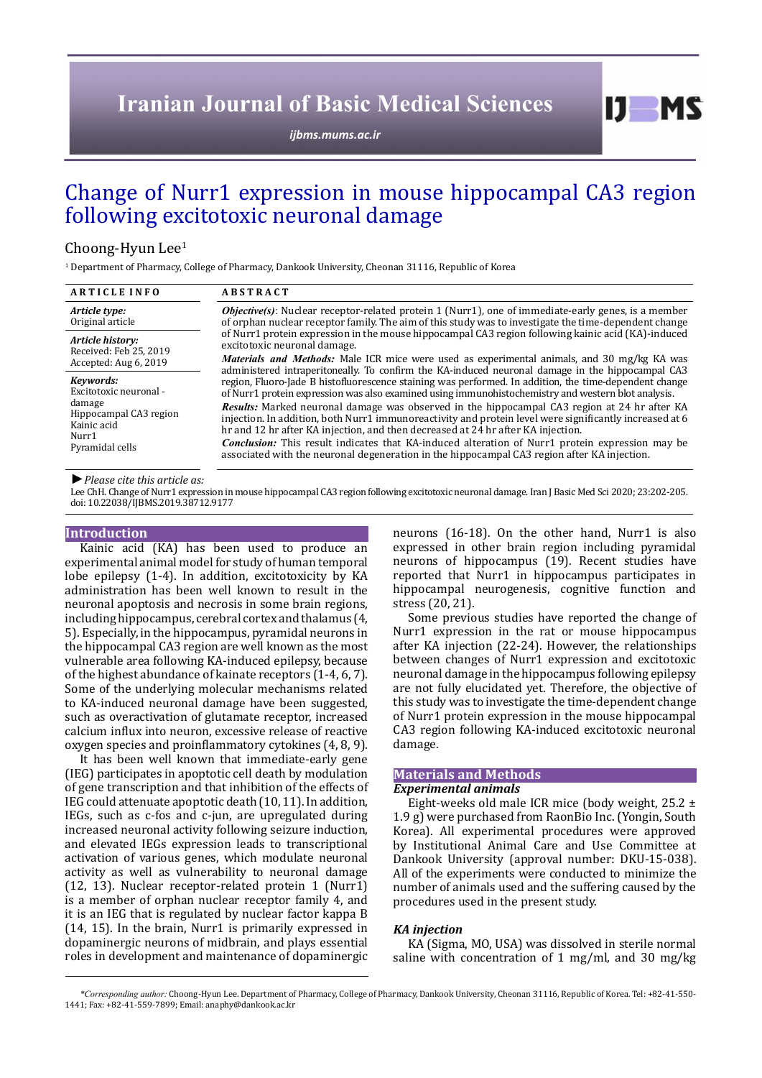# **Iranian Journal of Basic Medical Sciences**

*[ijbms.mums.ac.ir](http://ijbms.mums.ac.ir)*

# Change of Nurr1 expression in mouse hippocampal CA3 region following excitotoxic neuronal damage

## Choong-Hyun Lee1

1 Department of Pharmacy, College of Pharmacy, Dankook University, Cheonan 31116, Republic of Korea

| <b>ARTICLE INFO</b>                                                                                                | <b>ABSTRACT</b>                                                                                                                                                                                                                                                                                                                                                                                                                                                                                                                                                                                                                                                                                                                                                                                                                                                                                                                                                                                                                                                                                                                                                                                                                                                                                      |
|--------------------------------------------------------------------------------------------------------------------|------------------------------------------------------------------------------------------------------------------------------------------------------------------------------------------------------------------------------------------------------------------------------------------------------------------------------------------------------------------------------------------------------------------------------------------------------------------------------------------------------------------------------------------------------------------------------------------------------------------------------------------------------------------------------------------------------------------------------------------------------------------------------------------------------------------------------------------------------------------------------------------------------------------------------------------------------------------------------------------------------------------------------------------------------------------------------------------------------------------------------------------------------------------------------------------------------------------------------------------------------------------------------------------------------|
| Article type:<br>Original article                                                                                  | <b><i>Objective(s)</i></b> : Nuclear receptor-related protein 1 (Nurr1), one of immediate-early genes, is a member<br>of orphan nuclear receptor family. The aim of this study was to investigate the time-dependent change<br>of Nurr1 protein expression in the mouse hippocampal CA3 region following kainic acid (KA)-induced<br>excitotoxic neuronal damage.<br>Materials and Methods: Male ICR mice were used as experimental animals, and 30 mg/kg KA was<br>administered intraperitoneally. To confirm the KA-induced neuronal damage in the hippocampal CA3<br>region, Fluoro-Jade B histofluorescence staining was performed. In addition, the time-dependent change<br>of Nurr1 protein expression was also examined using immunohistochemistry and western blot analysis.<br><b>Results:</b> Marked neuronal damage was observed in the hippocampal CA3 region at 24 hr after KA<br>injection. In addition, both Nurr1 immunoreactivity and protein level were significantly increased at 6<br>hr and 12 hr after KA injection, and then decreased at 24 hr after KA injection.<br><b>Conclusion:</b> This result indicates that KA-induced alteration of Nurr1 protein expression may be<br>associated with the neuronal degeneration in the hippocampal CA3 region after KA injection. |
| Article history:<br>Received: Feb 25, 2019<br>Accepted: Aug 6, 2019                                                |                                                                                                                                                                                                                                                                                                                                                                                                                                                                                                                                                                                                                                                                                                                                                                                                                                                                                                                                                                                                                                                                                                                                                                                                                                                                                                      |
| Kevwords:<br>Excitotoxic neuronal -<br>damage<br>Hippocampal CA3 region<br>Kainic acid<br>Nurr1<br>Pyramidal cells |                                                                                                                                                                                                                                                                                                                                                                                                                                                                                                                                                                                                                                                                                                                                                                                                                                                                                                                                                                                                                                                                                                                                                                                                                                                                                                      |

*►Please cite this article as:*

Lee ChH. Change of Nurr1 expression in mouse hippocampal CA3 region following excitotoxic neuronal damage. Iran J Basic Med Sci 2020; 23:202-205. doi: 10.22038/IJBMS.2019.38712.9177

#### **Introduction**

Kainic acid (KA) has been used to produce an experimental animal model for study of human temporal lobe epilepsy (1-4). In addition, excitotoxicity by KA administration has been well known to result in the neuronal apoptosis and necrosis in some brain regions, including hippocampus, cerebral cortex and thalamus (4, 5). Especially, in the hippocampus, pyramidal neurons in the hippocampal CA3 region are well known as the most vulnerable area following KA-induced epilepsy, because of the highest abundance of kainate receptors (1-4, 6, 7). Some of the underlying molecular mechanisms related to KA-induced neuronal damage have been suggested, such as overactivation of glutamate receptor, increased calcium influx into neuron, excessive release of reactive oxygen species and proinflammatory cytokines (4, 8, 9).

It has been well known that immediate-early gene (IEG) participates in apoptotic cell death by modulation of gene transcription and that inhibition of the effects of IEG could attenuate apoptotic death (10, 11). In addition, IEGs, such as c-fos and c-jun, are upregulated during increased neuronal activity following seizure induction, and elevated IEGs expression leads to transcriptional activation of various genes, which modulate neuronal activity as well as vulnerability to neuronal damage (12, 13). Nuclear receptor-related protein 1 (Nurr1) is a member of orphan nuclear receptor family 4, and it is an IEG that is regulated by nuclear factor kappa B (14, 15). In the brain, Nurr1 is primarily expressed in dopaminergic neurons of midbrain, and plays essential roles in development and maintenance of dopaminergic

neurons (16-18). On the other hand, Nurr1 is also expressed in other brain region including pyramidal neurons of hippocampus (19). Recent studies have reported that Nurr1 in hippocampus participates in hippocampal neurogenesis, cognitive function and stress (20, 21).

 $D$  MS

Some previous studies have reported the change of Nurr1 expression in the rat or mouse hippocampus after KA injection (22-24). However, the relationships between changes of Nurr1 expression and excitotoxic neuronal damage in the hippocampus following epilepsy are not fully elucidated yet. Therefore, the objective of this study was to investigate the time-dependent change of Nurr1 protein expression in the mouse hippocampal CA3 region following KA-induced excitotoxic neuronal damage.

#### **Materials and Methods**

## *Experimental animals*

Eight-weeks old male ICR mice (body weight, 25.2 ± 1.9 g) were purchased from RaonBio Inc. (Yongin, South Korea). All experimental procedures were approved by Institutional Animal Care and Use Committee at Dankook University (approval number: DKU-15-038). All of the experiments were conducted to minimize the number of animals used and the suffering caused by the procedures used in the present study.

#### *KA injection*

KA (Sigma, MO, USA) was dissolved in sterile normal saline with concentration of 1 mg/ml, and 30 mg/kg

*\*Corresponding author:* Choong-Hyun Lee. Department of Pharmacy, College of Pharmacy, Dankook University, Cheonan 31116, Republic of Korea. Tel: +82-41-550- 1441; Fax: +82-41-559-7899; Email: anaphy@dankook.ac.kr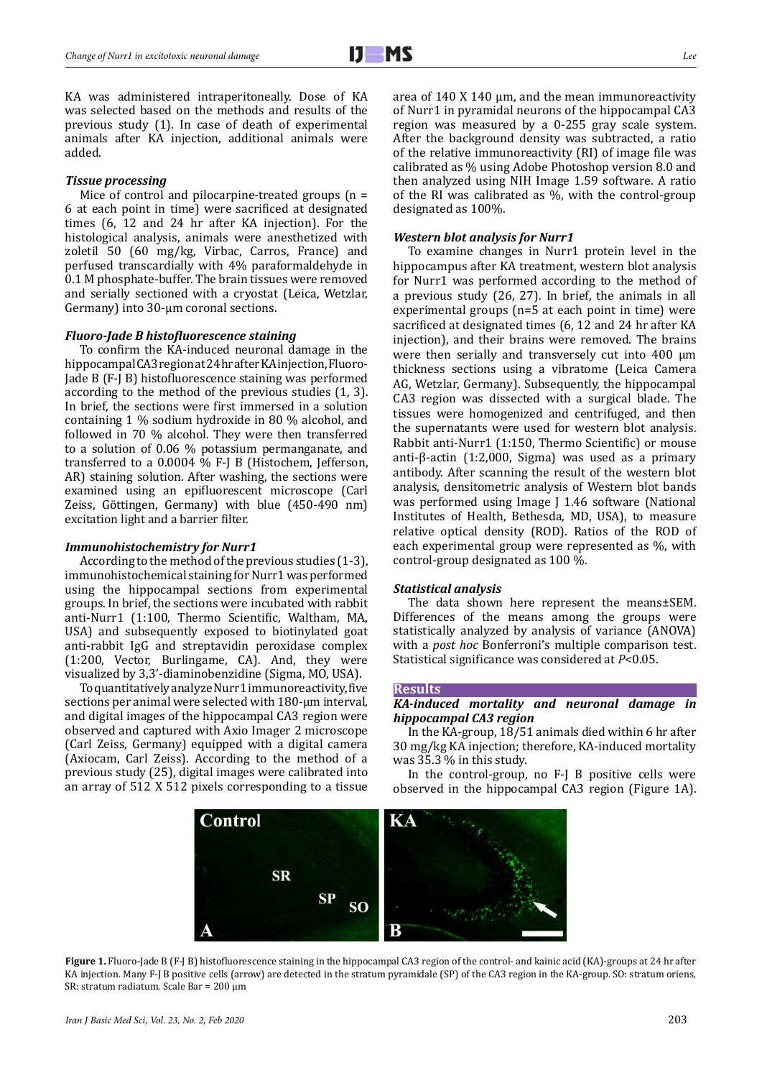KA was administered intraperitoneally. Dose of KA was selected based on the methods and results of the previous study (1). In case of death of experimental animals after KA injection, additional animals were added.

#### *Tissue processing*

Mice of control and pilocarpine-treated groups (n = 6 at each point in time) were sacrificed at designated times (6, 12 and 24 hr after KA injection). For the histological analysis, animals were anesthetized with zoletil 50 (60 mg/kg, Virbac, Carros, France) and perfused transcardially with 4% paraformaldehyde in 0.1 M phosphate-buffer. The brain tissues were removed and serially sectioned with a cryostat (Leica, Wetzlar, Germany) into 30-μm coronal sections.

#### *Fluoro-Jade B histofluorescence staining*

To confirm the KA-induced neuronal damage in the hippocampal CA3 region at 24 hr after KA injection, Fluoro-Jade B (F-J B) histofluorescence staining was performed according to the method of the previous studies (1, 3). In brief, the sections were first immersed in a solution containing 1 % sodium hydroxide in 80 % alcohol, and followed in 70 % alcohol. They were then transferred to a solution of 0.06 % potassium permanganate, and transferred to a 0.0004 % F-J B (Histochem, Jefferson, AR) staining solution. After washing, the sections were examined using an epifluorescent microscope (Carl Zeiss, Göttingen, Germany) with blue (450-490 nm) excitation light and a barrier filter.

### *Immunohistochemistry for Nurr1*

According to the method of the previous studies (1-3), immunohistochemical staining for Nurr1 was performed using the hippocampal sections from experimental groups. In brief, the sections were incubated with rabbit anti-Nurr1 (1:100, Thermo Scientific, Waltham, MA, USA) and subsequently exposed to biotinylated goat anti-rabbit IgG and streptavidin peroxidase complex (1:200, Vector, Burlingame, CA). And, they were visualized by 3,3'-diaminobenzidine (Sigma, MO, USA).

To quantitatively analyze Nurr1 immunoreactivity, five sections per animal were selected with 180-μm interval, and digital images of the hippocampal CA3 region were observed and captured with Axio Imager 2 microscope (Carl Zeiss, Germany) equipped with a digital camera (Axiocam, Carl Zeiss). According to the method of a previous study (25), digital images were calibrated into an array of 512 X 512 pixels corresponding to a tissue

area of 140 X 140 μm, and the mean immunoreactivity of Nurr1 in pyramidal neurons of the hippocampal CA3 region was measured by a 0-255 gray scale system. After the background density was subtracted, a ratio of the relative immunoreactivity (RI) of image file was calibrated as % using Adobe Photoshop version 8.0 and then analyzed using NIH Image 1.59 software. A ratio of the RI was calibrated as %, with the control-group designated as 100%.

### *Western blot analysis for Nurr1*

To examine changes in Nurr1 protein level in the hippocampus after KA treatment, western blot analysis for Nurr1 was performed according to the method of a previous study (26, 27). In brief, the animals in all experimental groups (n=5 at each point in time) were sacrificed at designated times (6, 12 and 24 hr after KA injection), and their brains were removed. The brains were then serially and transversely cut into 400  $\mu$ m thickness sections using a vibratome (Leica Camera AG, Wetzlar, Germany). Subsequently, the hippocampal CA3 region was dissected with a surgical blade. The tissues were homogenized and centrifuged, and then the supernatants were used for western blot analysis. Rabbit anti-Nurr1 (1:150, Thermo Scientific) or mouse anti-β-actin (1:2,000, Sigma) was used as a primary antibody. After scanning the result of the western blot analysis, densitometric analysis of Western blot bands was performed using Image J 1.46 software (National Institutes of Health, Bethesda, MD, USA), to measure relative optical density (ROD). Ratios of the ROD of each experimental group were represented as %, with control-group designated as 100 %.

#### *Statistical analysis*

The data shown here represent the means±SEM. Differences of the means among the groups were statistically analyzed by analysis of variance (ANOVA) with a *post hoc* Bonferroni's multiple comparison test. Statistical significance was considered at *P*<0.05.

#### **Results**

## *KA-induced mortality and neuronal damage in hippocampal CA3 region*

In the KA-group, 18/51 animals died within 6 hr after 30 mg/kg KA injection; therefore, KA-induced mortality was 35.3 % in this study.

In the control-group, no F-J B positive cells were observed in the hippocampal CA3 region (Figure 1A).



**Figure 1.** Fluoro-Jade B (F-J B) histofluorescence staining in the hippocampal CA3 region of the control- and kainic acid (KA)-groups at 24 hr after KA injection. Many F-J B positive cells (arrow) are detected in the stratum pyramidale (SP) of the CA3 region in the KA-group. SO: stratum oriens, SR: stratum radiatum. Scale Bar = 200 µm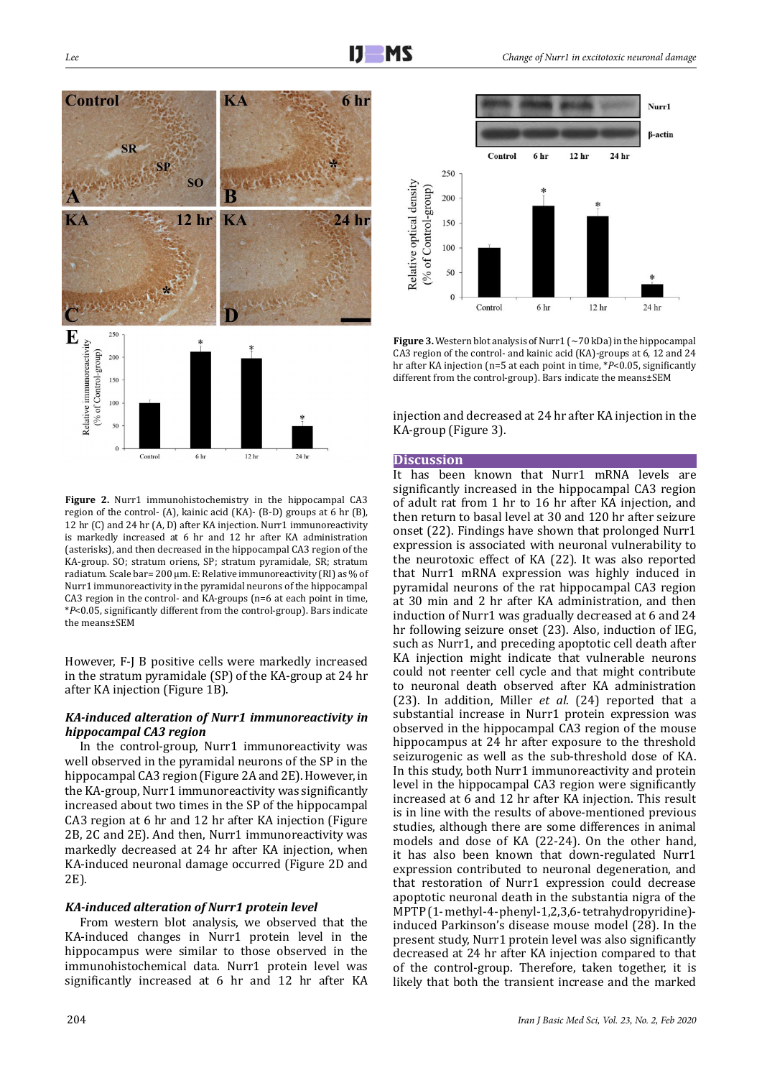

**Figure 2.** Nurr1 immunohistochemistry in the hippocampal CA3 region of the control- (A), kainic acid (KA)- (B-D) groups at 6 hr (B), 12 hr (C) and 24 hr (A, D) after KA injection. Nurr1 immunoreactivity is markedly increased at 6 hr and 12 hr after KA administration (asterisks), and then decreased in the hippocampal CA3 region of the KA-group. SO; stratum oriens, SP; stratum pyramidale, SR; stratum radiatum. Scale bar= 200 μm. E: Relative immunoreactivity (RI) as % of Nurr1 immunoreactivity in the pyramidal neurons of the hippocampal CA3 region in the control- and KA-groups (n=6 at each point in time, \**P*<0.05, significantly different from the control-group). Bars indicate the means±SEM

However, F-J B positive cells were markedly increased in the stratum pyramidale (SP) of the KA-group at 24 hr after KA injection (Figure 1B).

## *KA-induced alteration of Nurr1 immunoreactivity in hippocampal CA3 region*

In the control-group, Nurr1 immunoreactivity was well observed in the pyramidal neurons of the SP in the hippocampal CA3 region (Figure 2A and 2E). However, in the KA-group, Nurr1 immunoreactivity was significantly increased about two times in the SP of the hippocampal CA3 region at 6 hr and 12 hr after KA injection (Figure 2B, 2C and 2E). And then, Nurr1 immunoreactivity was markedly decreased at 24 hr after KA injection, when KA-induced neuronal damage occurred (Figure 2D and 2E).

## *KA-induced alteration of Nurr1 protein level*

From western blot analysis, we observed that the KA-induced changes in Nurr1 protein level in the hippocampus were similar to those observed in the immunohistochemical data. Nurr1 protein level was significantly increased at 6 hr and 12 hr after KA



**Figure 3.** Western blot analysis of Nurr1 (~70 kDa) in the hippocampal CA3 region of the control- and kainic acid (KA)-groups at 6, 12 and 24 hr after KA injection (n=5 at each point in time, \**P*<0.05, significantly different from the control-group). Bars indicate the means±SEM

injection and decreased at 24 hr after KA injection in the KA-group (Figure 3).

### **Discussion**

It has been known that Nurr1 mRNA levels are significantly increased in the hippocampal CA3 region of adult rat from 1 hr to 16 hr after KA injection, and then return to basal level at 30 and 120 hr after seizure onset (22). Findings have shown that prolonged Nurr1 expression is associated with neuronal vulnerability to the neurotoxic effect of KA (22). It was also reported that Nurr1 mRNA expression was highly induced in pyramidal neurons of the rat hippocampal CA3 region at 30 min and 2 hr after KA administration, and then induction of Nurr1 was gradually decreased at 6 and 24 hr following seizure onset (23). Also, induction of IEG, such as Nurr1, and preceding apoptotic cell death after KA injection might indicate that vulnerable neurons could not reenter cell cycle and that might contribute to neuronal death observed after KA administration (23). In addition, Miller *et al*. (24) reported that a substantial increase in Nurr1 protein expression was observed in the hippocampal CA3 region of the mouse hippocampus at 24 hr after exposure to the threshold seizurogenic as well as the sub-threshold dose of KA. In this study, both Nurr1 immunoreactivity and protein level in the hippocampal CA3 region were significantly increased at 6 and 12 hr after KA injection. This result is in line with the results of above-mentioned previous studies, although there are some differences in animal models and dose of KA (22-24). On the other hand, it has also been known that down-regulated Nurr1 expression contributed to neuronal degeneration, and that restoration of Nurr1 expression could decrease apoptotic neuronal death in the substantia nigra of the MPTP (1- methyl-4- phenyl-1,2,3,6- tetrahydropyridine) induced Parkinson's disease mouse model (28). In the present study, Nurr1 protein level was also significantly decreased at 24 hr after KA injection compared to that of the control-group. Therefore, taken together, it is likely that both the transient increase and the marked